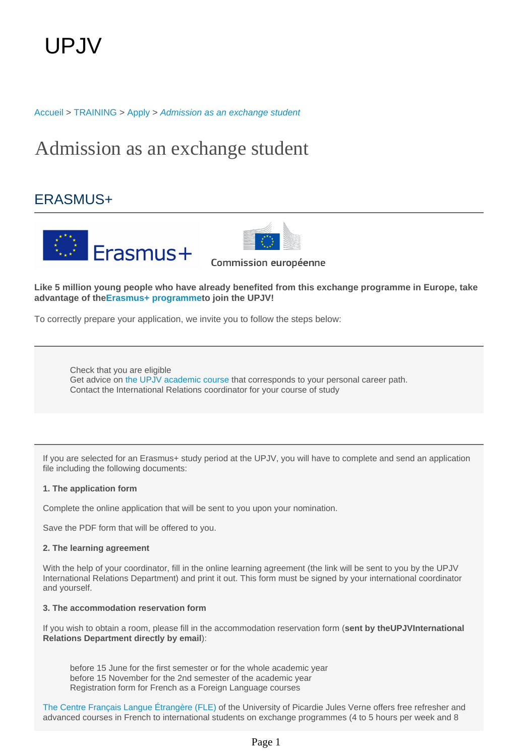[Accueil](https://welcome.u-picardie.fr/) > [TRAINING](https://welcome.u-picardie.fr/training/) > [Apply](https://welcome.u-picardie.fr/training/apply/) > [Admission as an exchange student](https://welcome.u-picardie.fr/training/apply/admission-as-an-exchange-student/)

# Admission as an exchange student

## ERASMUS+





Commission européenne

**Like 5 million young people who have already benefited from this exchange programme in Europe, take advantage of the[Erasmus+ programmet](https://ec.europa.eu/programmes/erasmus-plus/opportunities/students_en)o join the UPJV!** 

To correctly prepare your application, we invite you to follow the steps below:

Check that you are eligible Get advice on [the UPJV academic course](https://welcome.u-picardie.fr/medias/fichier/offre-de-formation-eng_1623661750771-pdf?ID_FICHE=267055) that corresponds to your personal career path. Contact the International Relations coordinator for your course of study

If you are selected for an Erasmus+ study period at the UPJV, you will have to complete and send an application file including the following documents:

#### **1. The application form**

Complete the online application that will be sent to you upon your nomination.

Save the PDF form that will be offered to you.

#### **2. The learning agreement**

With the help of your coordinator, fill in the online learning agreement (the link will be sent to you by the UPJV International Relations Department) and print it out. This form must be signed by your international coordinator and yourself.

#### **3. The accommodation reservation form**

If you wish to obtain a room, please fill in the accommodation reservation form (**sent by theUPJVInternational Relations Department directly by email**):

before 15 June for the first semester or for the whole academic year before 15 November for the 2nd semester of the academic year Registration form for French as a Foreign Language courses

The Centre Français Langue Étrangère (FLE) of the University of Picardie Jules Verne offers free refresher and advanced courses in French to international students on exchange programmes (4 to 5 hours per week and 8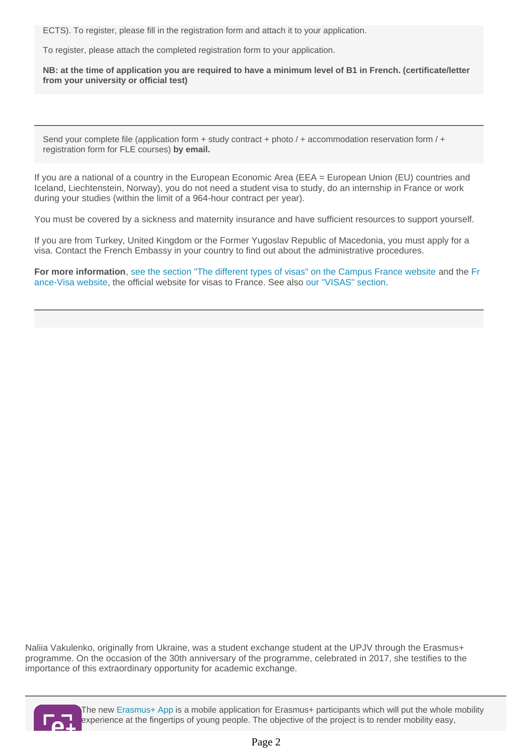ECTS). To register, please fill in the registration form and attach it to your application.

To register, please attach the completed registration form to your application.

**NB: at the time of application you are required to have a minimum level of B1 in French. (certificate/letter from your university or official test)**

Send your complete file (application form + study contract + photo  $/$  + accommodation reservation form  $/$  + registration form for FLE courses) **by email.**

If you are a national of a country in the European Economic Area (EEA = European Union (EU) countries and Iceland, Liechtenstein, Norway), you do not need a student visa to study, do an internship in France or work during your studies (within the limit of a 964-hour contract per year).

You must be covered by a sickness and maternity insurance and have sufficient resources to support yourself.

If you are from Turkey, United Kingdom or the Former Yugoslav Republic of Macedonia, you must apply for a visa. Contact the French Embassy in your country to find out about the administrative procedures.

**For more information**, [see the section "The different types of visas" on the Campus France website](https://www.campusfrance.org/en/the-different-types-of-visas) and the [Fr](https://france-visas.gouv.fr/en_US/web/france-visas/welcome-page) [ance-Visa website](https://france-visas.gouv.fr/en_US/web/france-visas/welcome-page), the official website for visas to France. See also [our "VISAS" section.](https://welcome.u-picardie.fr/campus-life/prepare-your-stay/prepare-your-stay-632628.kjsp?RH=1620035542123)

Naliia Vakulenko, originally from Ukraine, was a student exchange student at the UPJV through the Erasmus+ programme. On the occasion of the 30th anniversary of the programme, celebrated in 2017, she testifies to the importance of this extraordinary opportunity for academic exchange.



The new [Erasmus+ App](http://erasmusapp.eu) is a mobile application for Erasmus+ participants which will put the whole mobility experience at the fingertips of young people. The objective of the project is to render mobility easy,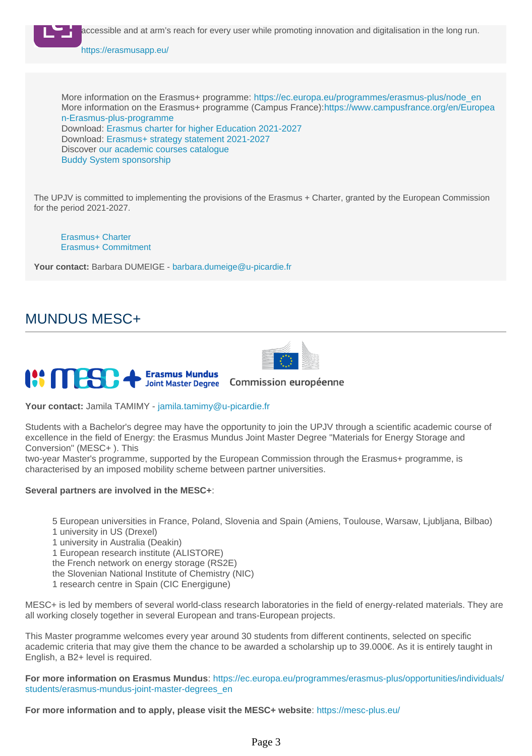

## MUNDUS MESC+



#### **III MESC Erasmus Mundus** Commission européenne Joint Master Degree

**Your contact:** Jamila TAMIMY - jamila.tamimy@u-picardie.fr

Students with a Bachelor's degree may have the opportunity to join the UPJV through a scientific academic course of excellence in the field of Energy: the Erasmus Mundus Joint Master Degree "Materials for Energy Storage and Conversion" (MESC+ ). This

two-year Master's programme, supported by the European Commission through the Erasmus+ programme, is characterised by an imposed mobility scheme between partner universities.

## **Several partners are involved in the MESC+**:

5 European universities in France, Poland, Slovenia and Spain (Amiens, Toulouse, Warsaw, Ljubljana, Bilbao)

- 1 university in US (Drexel)
- 1 university in Australia (Deakin)
- 1 European research institute (ALISTORE)
- the French network on energy storage (RS2E)
- the Slovenian National Institute of Chemistry (NIC)
- 1 research centre in Spain (CIC Energigune)

MESC+ is led by members of several world-class research laboratories in the field of energy-related materials. They are all working closely together in several European and trans-European projects.

This Master programme welcomes every year around 30 students from different continents, selected on specific academic criteria that may give them the chance to be awarded a scholarship up to 39.000€. As it is entirely taught in English, a B2+ level is required.

**For more information on Erasmus Mundus**: [https://ec.europa.eu/programmes/erasmus-plus/opportunities/individuals/](https://ec.europa.eu/programmes/erasmus-plus/opportunities/individuals/students/erasmus-mundus-joint-master-degrees_en) [students/erasmus-mundus-joint-master-degrees\\_en](https://ec.europa.eu/programmes/erasmus-plus/opportunities/individuals/students/erasmus-mundus-joint-master-degrees_en)

**For more information and to apply, please visit the MESC+ website**:<https://mesc-plus.eu/>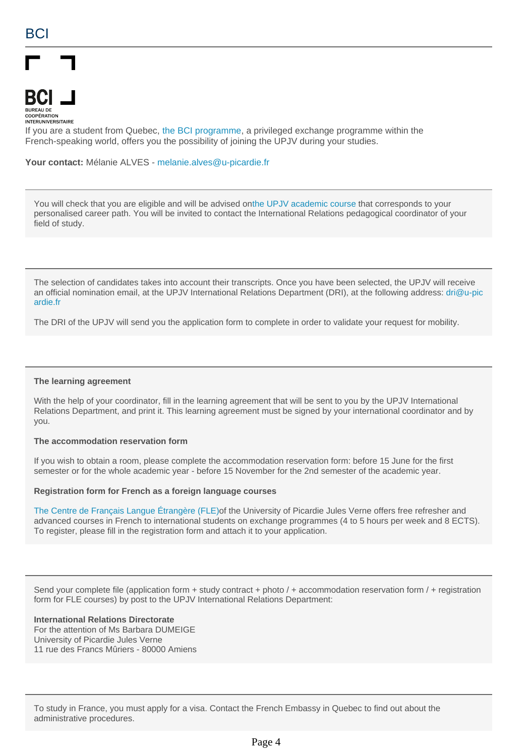

**INTERUNIVERSITAIRE** 

If you are a student from Quebec, [the BCI programme,](https://echanges-etudiants.bci-qc.ca/en/) a privileged exchange programme within the French-speaking world, offers you the possibility of joining the UPJV during your studies.

**Your contact:** Mélanie ALVES - melanie.alves@u-picardie.fr

You will check that you are eligible and will be advised on[the UPJV academic course](https://welcome.u-picardie.fr/training/find-a-course/find-a-course-632546.kjsp?RH=1620035542123) that corresponds to your personalised career path. You will be invited to contact the International Relations pedagogical coordinator of your field of study.

The selection of candidates takes into account their transcripts. Once you have been selected, the UPJV will receive an official nomination email, at the UPJV International Relations Department (DRI), at the following address: dri@u-pic ardie.fr

The DRI of the UPJV will send you the application form to complete in order to validate your request for mobility.

#### **The learning agreement**

With the help of your coordinator, fill in the learning agreement that will be sent to you by the UPJV International Relations Department, and print it. This learning agreement must be signed by your international coordinator and by you.

#### **The accommodation reservation form**

If you wish to obtain a room, please complete the accommodation reservation form: before 15 June for the first semester or for the whole academic year - before 15 November for the 2nd semester of the academic year.

#### **Registration form for French as a foreign language courses**

The Centre de Français Langue Étrangère (FLE)of the University of Picardie Jules Verne offers free refresher and advanced courses in French to international students on exchange programmes (4 to 5 hours per week and 8 ECTS). To register, please fill in the registration form and attach it to your application.

Send your complete file (application form  $+$  study contract  $+$  photo  $/+$  accommodation reservation form  $/+$  registration form for FLE courses) by post to the UPJV International Relations Department:

#### **International Relations Directorate**

For the attention of Ms Barbara DUMEIGE University of Picardie Jules Verne 11 rue des Francs Mûriers - 80000 Amiens

To study in France, you must apply for a visa. Contact the French Embassy in Quebec to find out about the administrative procedures.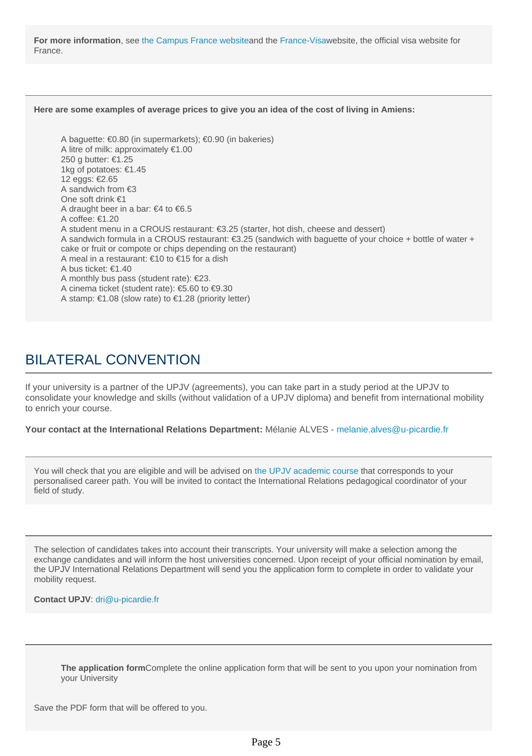**For more information**, see [the Campus France website](https://www.campusfrance.org/en/the-different-types-of-visas)and the [France-Visaw](https://france-visas.gouv.fr/en_US/web/france-visas/welcome-page)ebsite, the official visa website for France.

#### **Here are some examples of average prices to give you an idea of the cost of living in Amiens:**

A baguette: €0.80 (in supermarkets); €0.90 (in bakeries) A litre of milk: approximately €1.00 250 g butter: €1.25 1kg of potatoes: €1.45 12 eggs: €2.65 A sandwich from €3 One soft drink €1 A draught beer in a bar: €4 to €6.5 A coffee: €1.20 A student menu in a CROUS restaurant: €3.25 (starter, hot dish, cheese and dessert) A sandwich formula in a CROUS restaurant: €3.25 (sandwich with baguette of your choice + bottle of water + cake or fruit or compote or chips depending on the restaurant) A meal in a restaurant: €10 to €15 for a dish A bus ticket: €1.40 A monthly bus pass (student rate):  $\epsilon$ 23. A cinema ticket (student rate): €5.60 to €9.30 A stamp: €1.08 (slow rate) to €1.28 (priority letter)

## BILATERAL CONVENTION

If your university is a partner of the UPJV (agreements), you can take part in a study period at the UPJV to consolidate your knowledge and skills (without validation of a UPJV diploma) and benefit from international mobility to enrich your course.

**Your contact at the International Relations Department:** Mélanie ALVES - melanie.alves@u-picardie.fr

You will check that you are eligible and will be advised on [the UPJV academic course](https://welcome.u-picardie.fr/training/find-a-course/find-a-course-632546.kjsp?RH=1620035542123) that corresponds to your personalised career path. You will be invited to contact the International Relations pedagogical coordinator of your field of study.

The selection of candidates takes into account their transcripts. Your university will make a selection among the exchange candidates and will inform the host universities concerned. Upon receipt of your official nomination by email, the UPJV International Relations Department will send you the application form to complete in order to validate your mobility request.

**Contact UPJV**: dri@u-picardie.fr

**The application form**Complete the online application form that will be sent to you upon your nomination from your University

Save the PDF form that will be offered to you.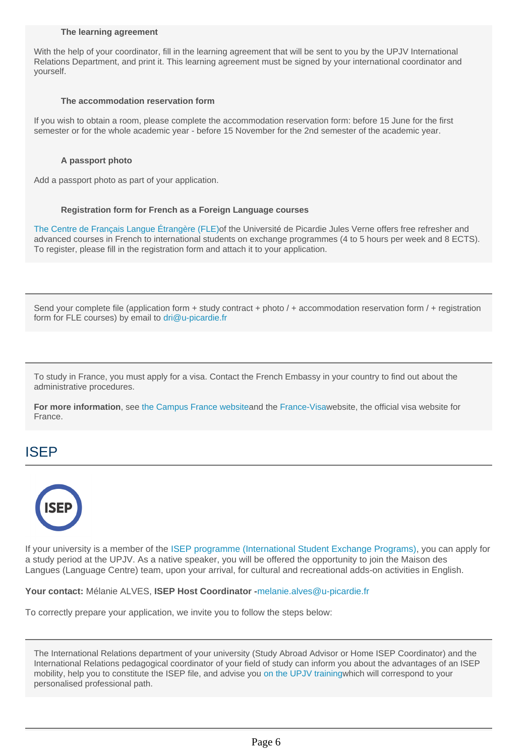#### **The learning agreement**

With the help of your coordinator, fill in the learning agreement that will be sent to you by the UPJV International Relations Department, and print it. This learning agreement must be signed by your international coordinator and yourself.

#### **The accommodation reservation form**

If you wish to obtain a room, please complete the accommodation reservation form: before 15 June for the first semester or for the whole academic year - before 15 November for the 2nd semester of the academic year.

### **A passport photo**

Add a passport photo as part of your application.

### **Registration form for French as a Foreign Language courses**

The Centre de Français Langue Étrangère (FLE)of the Université de Picardie Jules Verne offers free refresher and advanced courses in French to international students on exchange programmes (4 to 5 hours per week and 8 ECTS). To register, please fill in the registration form and attach it to your application.

Send your complete file (application form  $+$  study contract  $+$  photo  $/+$  accommodation reservation form  $/+$  registration form for FLE courses) by email to dri@u-picardie.fr

To study in France, you must apply for a visa. Contact the French Embassy in your country to find out about the administrative procedures.

**For more information**, see [the Campus France website](https://www.campusfrance.org/en/the-different-types-of-visas)and the [France-Visaw](https://france-visas.gouv.fr/en_US/web/france-visas/welcome-page)ebsite, the official visa website for France.

## ISEP



If your university is a member of the [ISEP programme \(International Student Exchange Programs\),](https://www.isepstudyabroad.org/) you can apply for a study period at the UPJV. As a native speaker, you will be offered the opportunity to join the Maison des Langues (Language Centre) team, upon your arrival, for cultural and recreational adds-on activities in English.

**Your contact:** Mélanie ALVES, **ISEP Host Coordinator -**melanie.alves@u-picardie.fr

To correctly prepare your application, we invite you to follow the steps below:

The International Relations department of your university (Study Abroad Advisor or Home ISEP Coordinator) and the International Relations pedagogical coordinator of your field of study can inform you about the advantages of an ISEP mobility, help you to constitute the ISEP file, and advise you [on the UPJV trainingw](https://welcome.u-picardie.fr/training/find-a-course/find-a-course-632546.kjsp?RH=1620035542123)hich will correspond to your personalised professional path.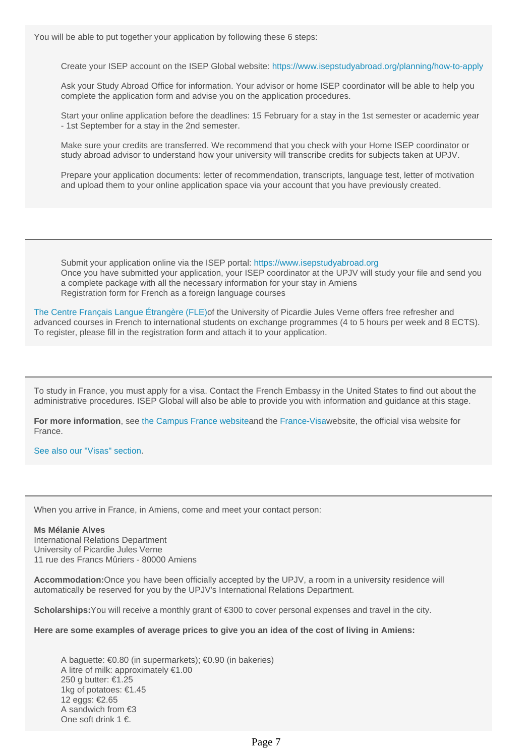You will be able to put together your application by following these 6 steps:

Create your ISEP account on the ISEP Global website: <https://www.isepstudyabroad.org/planning/how-to-apply>

Ask your Study Abroad Office for information. Your advisor or home ISEP coordinator will be able to help you complete the application form and advise you on the application procedures.

Start your online application before the deadlines: 15 February for a stay in the 1st semester or academic year - 1st September for a stay in the 2nd semester.

Make sure your credits are transferred. We recommend that you check with your Home ISEP coordinator or study abroad advisor to understand how your university will transcribe credits for subjects taken at UPJV.

Prepare your application documents: letter of recommendation, transcripts, language test, letter of motivation and upload them to your online application space via your account that you have previously created.

Submit your application online via the ISEP portal: [https://www.isepstudyabroad.org](https://www.isepstudyabroad.org/planning/how-to-apply) Once you have submitted your application, your ISEP coordinator at the UPJV will study your file and send you a complete package with all the necessary information for your stay in Amiens Registration form for French as a foreign language courses

The Centre Français Langue Étrangère (FLE)of the University of Picardie Jules Verne offers free refresher and advanced courses in French to international students on exchange programmes (4 to 5 hours per week and 8 ECTS). To register, please fill in the registration form and attach it to your application.

To study in France, you must apply for a visa. Contact the French Embassy in the United States to find out about the administrative procedures. ISEP Global will also be able to provide you with information and guidance at this stage.

**For more information**, see [the Campus France website](https://www.campusfrance.org/en/the-different-types-of-visas)and the [France-Visaw](https://france-visas.gouv.fr)ebsite, the official visa website for France.

[See also our "Visas" section.](https://welcome.u-picardie.fr/campus-life/prepare-your-stay/prepare-your-stay-632628.kjsp?RH=1620035542123)

When you arrive in France, in Amiens, come and meet your contact person:

**Ms Mélanie Alves** International Relations Department University of Picardie Jules Verne 11 rue des Francs Mûriers - 80000 Amiens

**Accommodation:**Once you have been officially accepted by the UPJV, a room in a university residence will automatically be reserved for you by the UPJV's International Relations Department.

**Scholarships:**You will receive a monthly grant of €300 to cover personal expenses and travel in the city.

**Here are some examples of average prices to give you an idea of the cost of living in Amiens:**

A baguette: €0.80 (in supermarkets); €0.90 (in bakeries) A litre of milk: approximately €1.00 250 g butter: €1.25 1kg of potatoes: €1.45 12 eggs: €2.65 A sandwich from €3 One soft drink 1 €.